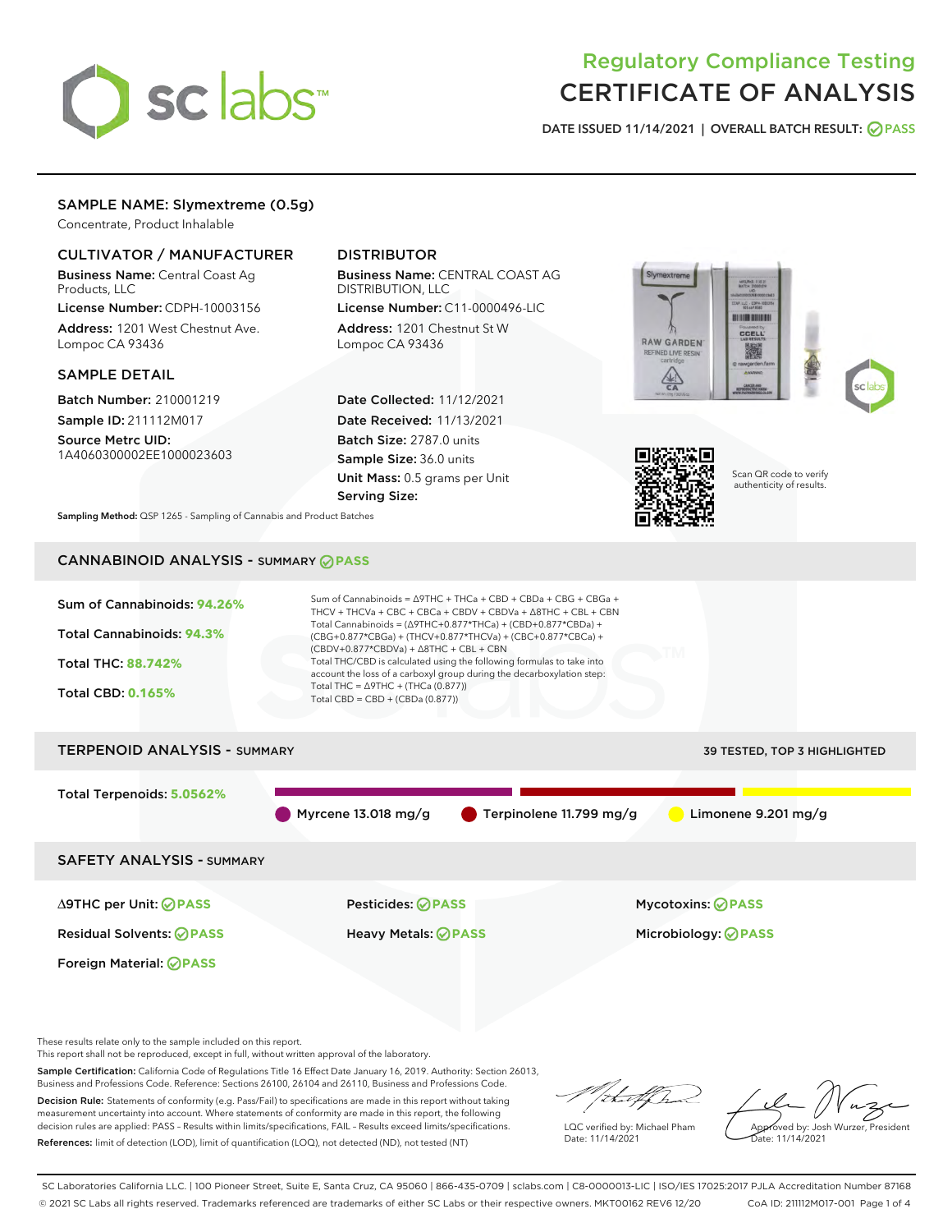

# Regulatory Compliance Testing CERTIFICATE OF ANALYSIS

DATE ISSUED 11/14/2021 | OVERALL BATCH RESULT: @ PASS

# SAMPLE NAME: Slymextreme (0.5g)

Concentrate, Product Inhalable

# CULTIVATOR / MANUFACTURER

Business Name: Central Coast Ag Products, LLC

License Number: CDPH-10003156 Address: 1201 West Chestnut Ave. Lompoc CA 93436

### SAMPLE DETAIL

Batch Number: 210001219 Sample ID: 211112M017

Source Metrc UID: 1A4060300002EE1000023603

# DISTRIBUTOR

Business Name: CENTRAL COAST AG DISTRIBUTION, LLC

License Number: C11-0000496-LIC Address: 1201 Chestnut St W Lompoc CA 93436

Date Collected: 11/12/2021 Date Received: 11/13/2021 Batch Size: 2787.0 units Sample Size: 36.0 units Unit Mass: 0.5 grams per Unit Serving Size:





Scan QR code to verify authenticity of results.

Sampling Method: QSP 1265 - Sampling of Cannabis and Product Batches

# CANNABINOID ANALYSIS - SUMMARY **PASS**



These results relate only to the sample included on this report.

This report shall not be reproduced, except in full, without written approval of the laboratory.

Sample Certification: California Code of Regulations Title 16 Effect Date January 16, 2019. Authority: Section 26013, Business and Professions Code. Reference: Sections 26100, 26104 and 26110, Business and Professions Code.

Decision Rule: Statements of conformity (e.g. Pass/Fail) to specifications are made in this report without taking measurement uncertainty into account. Where statements of conformity are made in this report, the following decision rules are applied: PASS – Results within limits/specifications, FAIL – Results exceed limits/specifications. References: limit of detection (LOD), limit of quantification (LOQ), not detected (ND), not tested (NT)

that f(ha

LQC verified by: Michael Pham Date: 11/14/2021

Approved by: Josh Wurzer, President ate: 11/14/2021

SC Laboratories California LLC. | 100 Pioneer Street, Suite E, Santa Cruz, CA 95060 | 866-435-0709 | sclabs.com | C8-0000013-LIC | ISO/IES 17025:2017 PJLA Accreditation Number 87168 © 2021 SC Labs all rights reserved. Trademarks referenced are trademarks of either SC Labs or their respective owners. MKT00162 REV6 12/20 CoA ID: 211112M017-001 Page 1 of 4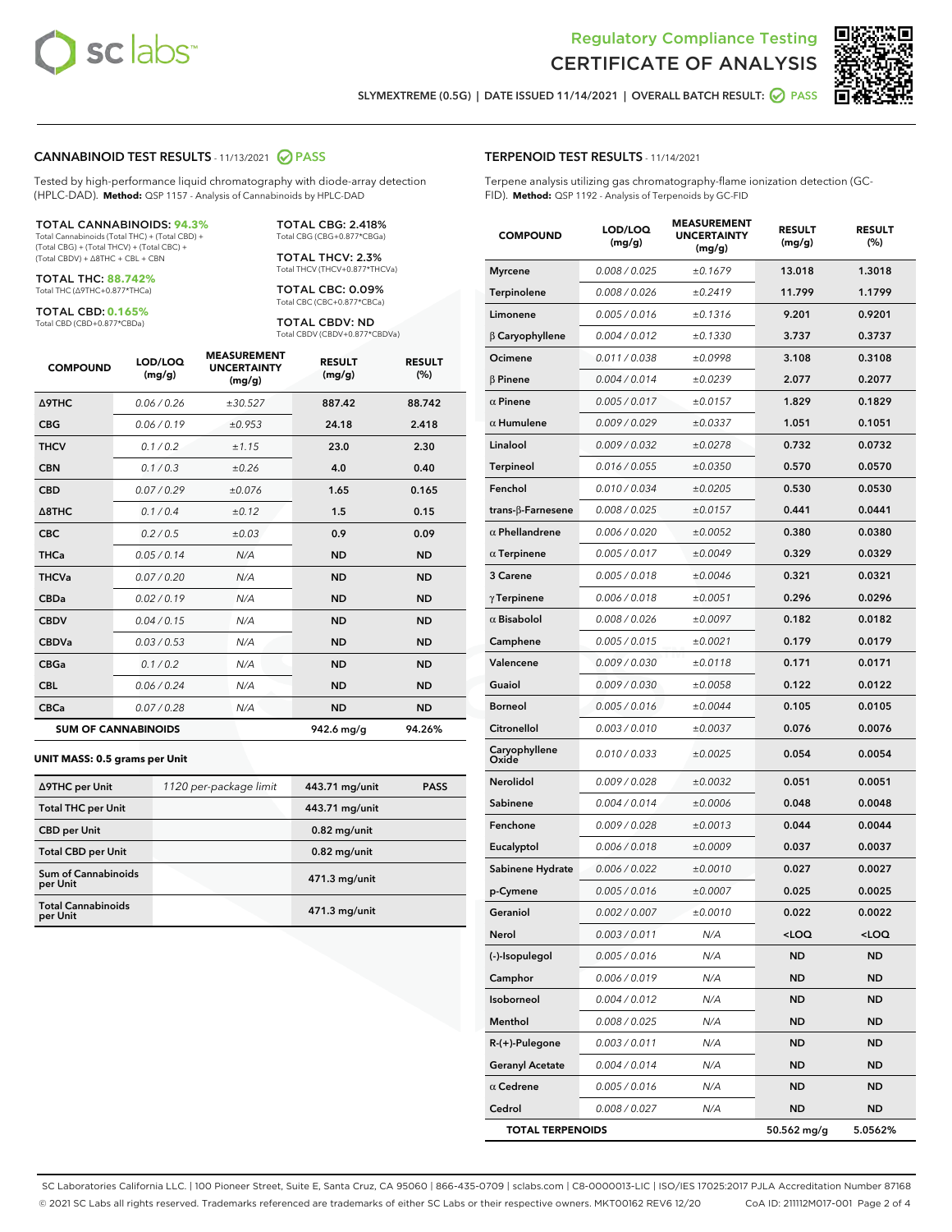

Terpene analysis utilizing gas chromatography-flame ionization detection (GC-



SLYMEXTREME (0.5G) | DATE ISSUED 11/14/2021 | OVERALL BATCH RESULT:  $\bigcirc$  PASS

TERPENOID TEST RESULTS - 11/14/2021

FID). **Method:** QSP 1192 - Analysis of Terpenoids by GC-FID

### CANNABINOID TEST RESULTS - 11/13/2021 2 PASS

Tested by high-performance liquid chromatography with diode-array detection (HPLC-DAD). **Method:** QSP 1157 - Analysis of Cannabinoids by HPLC-DAD

#### TOTAL CANNABINOIDS: **94.3%**

Total Cannabinoids (Total THC) + (Total CBD) + (Total CBG) + (Total THCV) + (Total CBC) + (Total CBDV) + ∆8THC + CBL + CBN

TOTAL THC: **88.742%** Total THC (∆9THC+0.877\*THCa)

TOTAL CBD: **0.165%**

Total CBD (CBD+0.877\*CBDa)

TOTAL CBG: 2.418% Total CBG (CBG+0.877\*CBGa)

TOTAL THCV: 2.3% Total THCV (THCV+0.877\*THCVa)

TOTAL CBC: 0.09% Total CBC (CBC+0.877\*CBCa)

TOTAL CBDV: ND Total CBDV (CBDV+0.877\*CBDVa)

| <b>COMPOUND</b>            | LOD/LOQ<br>(mg/g) | <b>MEASUREMENT</b><br><b>UNCERTAINTY</b><br>(mg/g) | <b>RESULT</b><br>(mg/g) | <b>RESULT</b><br>(%) |
|----------------------------|-------------------|----------------------------------------------------|-------------------------|----------------------|
| <b>A9THC</b>               | 0.06/0.26         | ±30.527                                            | 887.42                  | 88.742               |
| <b>CBG</b>                 | 0.06/0.19         | ±0.953                                             | 24.18                   | 2.418                |
| <b>THCV</b>                | 0.1/0.2           | ±1.15                                              | 23.0                    | 2.30                 |
| <b>CBN</b>                 | 0.1/0.3           | ±0.26                                              | 4.0                     | 0.40                 |
| <b>CBD</b>                 | 0.07/0.29         | ±0.076                                             | 1.65                    | 0.165                |
| $\triangle$ 8THC           | 0.1 / 0.4         | ±0.12                                              | 1.5                     | 0.15                 |
| <b>CBC</b>                 | 0.2 / 0.5         | $\pm 0.03$                                         | 0.9                     | 0.09                 |
| <b>THCa</b>                | 0.05/0.14         | N/A                                                | <b>ND</b>               | <b>ND</b>            |
| <b>THCVa</b>               | 0.07 / 0.20       | N/A                                                | <b>ND</b>               | <b>ND</b>            |
| <b>CBDa</b>                | 0.02/0.19         | N/A                                                | <b>ND</b>               | <b>ND</b>            |
| <b>CBDV</b>                | 0.04 / 0.15       | N/A                                                | <b>ND</b>               | <b>ND</b>            |
| <b>CBDVa</b>               | 0.03/0.53         | N/A                                                | <b>ND</b>               | <b>ND</b>            |
| <b>CBGa</b>                | 0.1/0.2           | N/A                                                | <b>ND</b>               | <b>ND</b>            |
| <b>CBL</b>                 | 0.06 / 0.24       | N/A                                                | <b>ND</b>               | <b>ND</b>            |
| <b>CBCa</b>                | 0.07/0.28         | N/A                                                | <b>ND</b>               | <b>ND</b>            |
| <b>SUM OF CANNABINOIDS</b> |                   |                                                    | 942.6 mg/g              | 94.26%               |

#### **UNIT MASS: 0.5 grams per Unit**

| ∆9THC per Unit                         | 1120 per-package limit | 443.71 mg/unit | <b>PASS</b> |
|----------------------------------------|------------------------|----------------|-------------|
| <b>Total THC per Unit</b>              |                        | 443.71 mg/unit |             |
| <b>CBD</b> per Unit                    |                        | $0.82$ mg/unit |             |
| <b>Total CBD per Unit</b>              |                        | $0.82$ mg/unit |             |
| <b>Sum of Cannabinoids</b><br>per Unit |                        | 471.3 mg/unit  |             |
| <b>Total Cannabinoids</b><br>per Unit  |                        | 471.3 mg/unit  |             |

| <b>COMPOUND</b>         | LOD/LOQ<br>(mg/g) | <b>MEASUREMENT</b><br><b>UNCERTAINTY</b><br>(mg/g) | <b>RESULT</b><br>(mg/g)                         | <b>RESULT</b><br>(%) |
|-------------------------|-------------------|----------------------------------------------------|-------------------------------------------------|----------------------|
| <b>Myrcene</b>          | 0.008 / 0.025     | ±0.1679                                            | 13.018                                          | 1.3018               |
| Terpinolene             | 0.008 / 0.026     | ±0.2419                                            | 11.799                                          | 1.1799               |
| Limonene                | 0.005 / 0.016     | ±0.1316                                            | 9.201                                           | 0.9201               |
| $\beta$ Caryophyllene   | 0.004 / 0.012     | ±0.1330                                            | 3.737                                           | 0.3737               |
| Ocimene                 | 0.011 / 0.038     | ±0.0998                                            | 3.108                                           | 0.3108               |
| <b>B</b> Pinene         | 0.004 / 0.014     | ±0.0239                                            | 2.077                                           | 0.2077               |
| $\alpha$ Pinene         | 0.005 / 0.017     | ±0.0157                                            | 1.829                                           | 0.1829               |
| $\alpha$ Humulene       | 0.009 / 0.029     | ±0.0337                                            | 1.051                                           | 0.1051               |
| Linalool                | 0.009 / 0.032     | ±0.0278                                            | 0.732                                           | 0.0732               |
| <b>Terpineol</b>        | 0.016 / 0.055     | ±0.0350                                            | 0.570                                           | 0.0570               |
| Fenchol                 | 0.010 / 0.034     | ±0.0205                                            | 0.530                                           | 0.0530               |
| trans-β-Farnesene       | 0.008 / 0.025     | ±0.0157                                            | 0.441                                           | 0.0441               |
| $\alpha$ Phellandrene   | 0.006 / 0.020     | ±0.0052                                            | 0.380                                           | 0.0380               |
| $\alpha$ Terpinene      | 0.005 / 0.017     | ±0.0049                                            | 0.329                                           | 0.0329               |
| 3 Carene                | 0.005 / 0.018     | ±0.0046                                            | 0.321                                           | 0.0321               |
| $\gamma$ Terpinene      | 0.006 / 0.018     | ±0.0051                                            | 0.296                                           | 0.0296               |
| $\alpha$ Bisabolol      | 0.008 / 0.026     | ±0.0097                                            | 0.182                                           | 0.0182               |
| Camphene                | 0.005 / 0.015     | ±0.0021                                            | 0.179                                           | 0.0179               |
| Valencene               | 0.009 / 0.030     | ±0.0118                                            | 0.171                                           | 0.0171               |
| Guaiol                  | 0.009 / 0.030     | ±0.0058                                            | 0.122                                           | 0.0122               |
| Borneol                 | 0.005 / 0.016     | ±0.0044                                            | 0.105                                           | 0.0105               |
| Citronellol             | 0.003 / 0.010     | ±0.0037                                            | 0.076                                           | 0.0076               |
| Caryophyllene<br>Oxide  | 0.010 / 0.033     | ±0.0025                                            | 0.054                                           | 0.0054               |
| Nerolidol               | 0.009 / 0.028     | ±0.0032                                            | 0.051                                           | 0.0051               |
| Sabinene                | 0.004 / 0.014     | ±0.0006                                            | 0.048                                           | 0.0048               |
| Fenchone                | 0.009 / 0.028     | ±0.0013                                            | 0.044                                           | 0.0044               |
| Eucalyptol              | 0.006 / 0.018     | ±0.0009                                            | 0.037                                           | 0.0037               |
| Sabinene Hydrate        | 0.006 / 0.022     | ±0.0010                                            | 0.027                                           | 0.0027               |
| p-Cymene                | 0.005 / 0.016     | ±0.0007                                            | 0.025                                           | 0.0025               |
| Geraniol                | 0.002 / 0.007     | ±0.0010                                            | 0.022                                           | 0.0022               |
| Nerol                   | 0.003 / 0.011     | N/A                                                | <loq< th=""><th><loq< th=""></loq<></th></loq<> | <loq< th=""></loq<>  |
| (-)-Isopulegol          | 0.005 / 0.016     | N/A                                                | ND                                              | ND                   |
| Camphor                 | 0.006 / 0.019     | N/A                                                | ND                                              | ND                   |
| Isoborneol              | 0.004 / 0.012     | N/A                                                | <b>ND</b>                                       | ND                   |
| Menthol                 | 0.008 / 0.025     | N/A                                                | <b>ND</b>                                       | ND                   |
| R-(+)-Pulegone          | 0.003 / 0.011     | N/A                                                | ND                                              | ND                   |
| <b>Geranyl Acetate</b>  | 0.004 / 0.014     | N/A                                                | <b>ND</b>                                       | ND                   |
| $\alpha$ Cedrene        | 0.005 / 0.016     | N/A                                                | <b>ND</b>                                       | ND                   |
| Cedrol                  | 0.008 / 0.027     | N/A                                                | ND                                              | ND                   |
| <b>TOTAL TERPENOIDS</b> |                   |                                                    | 50.562 mg/g                                     | 5.0562%              |

SC Laboratories California LLC. | 100 Pioneer Street, Suite E, Santa Cruz, CA 95060 | 866-435-0709 | sclabs.com | C8-0000013-LIC | ISO/IES 17025:2017 PJLA Accreditation Number 87168 © 2021 SC Labs all rights reserved. Trademarks referenced are trademarks of either SC Labs or their respective owners. MKT00162 REV6 12/20 CoA ID: 211112M017-001 Page 2 of 4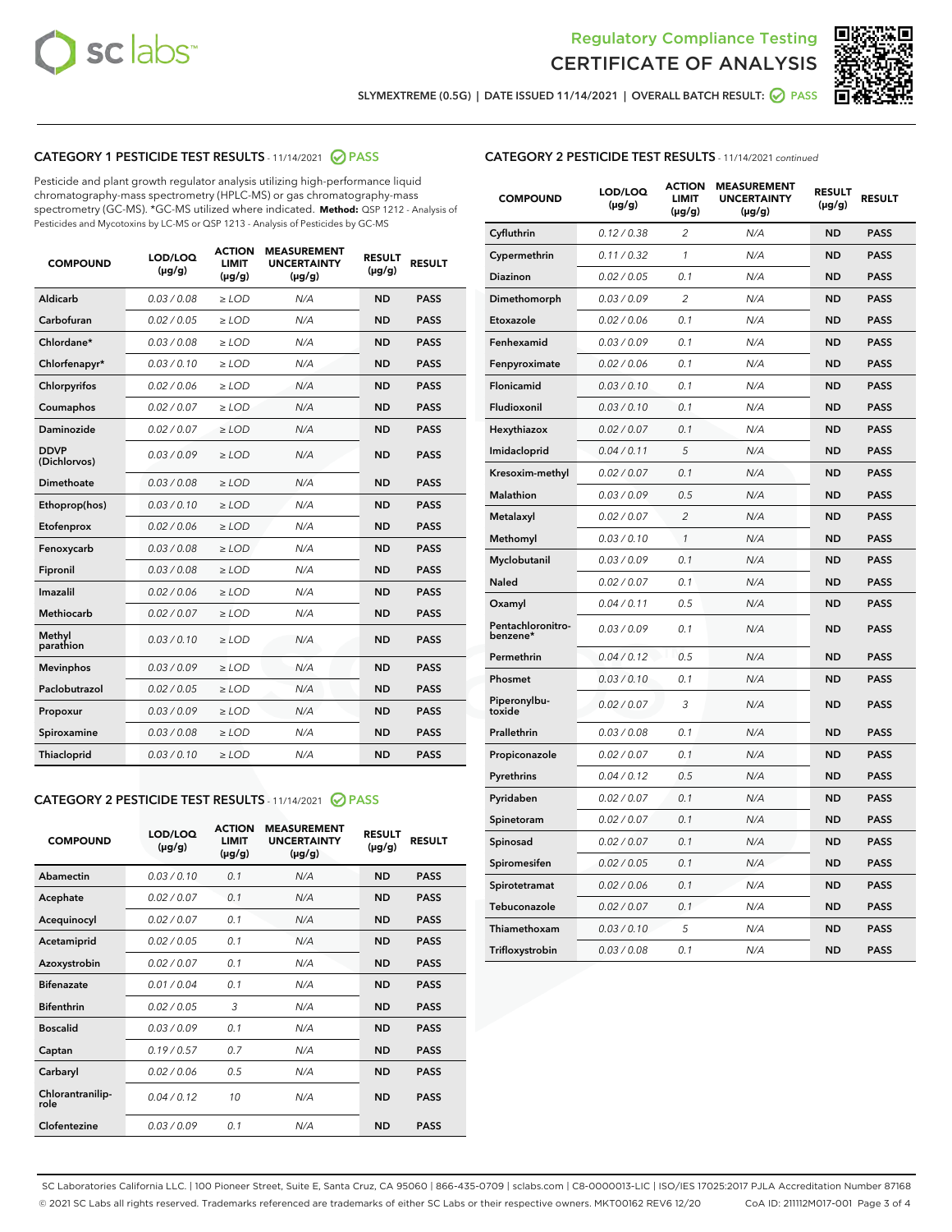



SLYMEXTREME (0.5G) | DATE ISSUED 11/14/2021 | OVERALL BATCH RESULT: 2 PASS

# CATEGORY 1 PESTICIDE TEST RESULTS - 11/14/2021 2 PASS

Pesticide and plant growth regulator analysis utilizing high-performance liquid chromatography-mass spectrometry (HPLC-MS) or gas chromatography-mass spectrometry (GC-MS). \*GC-MS utilized where indicated. **Method:** QSP 1212 - Analysis of Pesticides and Mycotoxins by LC-MS or QSP 1213 - Analysis of Pesticides by GC-MS

| <b>COMPOUND</b>             | LOD/LOQ<br>$(\mu g/g)$ | <b>ACTION</b><br><b>LIMIT</b><br>$(\mu g/g)$ | <b>MEASUREMENT</b><br><b>UNCERTAINTY</b><br>$(\mu g/g)$ | <b>RESULT</b><br>$(\mu g/g)$ | <b>RESULT</b> |
|-----------------------------|------------------------|----------------------------------------------|---------------------------------------------------------|------------------------------|---------------|
| Aldicarb                    | 0.03 / 0.08            | $\geq$ LOD                                   | N/A                                                     | <b>ND</b>                    | <b>PASS</b>   |
| Carbofuran                  | 0.02/0.05              | $\ge$ LOD                                    | N/A                                                     | <b>ND</b>                    | <b>PASS</b>   |
| Chlordane*                  | 0.03 / 0.08            | $\ge$ LOD                                    | N/A                                                     | <b>ND</b>                    | <b>PASS</b>   |
| Chlorfenapyr*               | 0.03/0.10              | $\ge$ LOD                                    | N/A                                                     | <b>ND</b>                    | <b>PASS</b>   |
| Chlorpyrifos                | 0.02 / 0.06            | $\ge$ LOD                                    | N/A                                                     | <b>ND</b>                    | <b>PASS</b>   |
| Coumaphos                   | 0.02 / 0.07            | $\ge$ LOD                                    | N/A                                                     | <b>ND</b>                    | <b>PASS</b>   |
| Daminozide                  | 0.02 / 0.07            | $\ge$ LOD                                    | N/A                                                     | <b>ND</b>                    | <b>PASS</b>   |
| <b>DDVP</b><br>(Dichlorvos) | 0.03/0.09              | $\ge$ LOD                                    | N/A                                                     | <b>ND</b>                    | <b>PASS</b>   |
| Dimethoate                  | 0.03 / 0.08            | $\ge$ LOD                                    | N/A                                                     | <b>ND</b>                    | <b>PASS</b>   |
| Ethoprop(hos)               | 0.03/0.10              | $\ge$ LOD                                    | N/A                                                     | <b>ND</b>                    | <b>PASS</b>   |
| Etofenprox                  | 0.02/0.06              | $\ge$ LOD                                    | N/A                                                     | <b>ND</b>                    | <b>PASS</b>   |
| Fenoxycarb                  | 0.03/0.08              | $\ge$ LOD                                    | N/A                                                     | <b>ND</b>                    | <b>PASS</b>   |
| Fipronil                    | 0.03/0.08              | $\ge$ LOD                                    | N/A                                                     | <b>ND</b>                    | <b>PASS</b>   |
| Imazalil                    | 0.02 / 0.06            | $\ge$ LOD                                    | N/A                                                     | <b>ND</b>                    | <b>PASS</b>   |
| <b>Methiocarb</b>           | 0.02 / 0.07            | $\ge$ LOD                                    | N/A                                                     | <b>ND</b>                    | <b>PASS</b>   |
| Methyl<br>parathion         | 0.03/0.10              | $\ge$ LOD                                    | N/A                                                     | <b>ND</b>                    | <b>PASS</b>   |
| <b>Mevinphos</b>            | 0.03/0.09              | $\ge$ LOD                                    | N/A                                                     | <b>ND</b>                    | <b>PASS</b>   |
| Paclobutrazol               | 0.02 / 0.05            | $\ge$ LOD                                    | N/A                                                     | <b>ND</b>                    | <b>PASS</b>   |
| Propoxur                    | 0.03/0.09              | $\ge$ LOD                                    | N/A                                                     | <b>ND</b>                    | <b>PASS</b>   |
| Spiroxamine                 | 0.03 / 0.08            | $\ge$ LOD                                    | N/A                                                     | <b>ND</b>                    | <b>PASS</b>   |
| <b>Thiacloprid</b>          | 0.03/0.10              | $\ge$ LOD                                    | N/A                                                     | <b>ND</b>                    | <b>PASS</b>   |
|                             |                        |                                              |                                                         |                              |               |

# CATEGORY 2 PESTICIDE TEST RESULTS - 11/14/2021 @ PASS

| <b>COMPOUND</b>          | LOD/LOO<br>$(\mu g/g)$ | <b>ACTION</b><br>LIMIT<br>$(\mu g/g)$ | <b>MEASUREMENT</b><br><b>UNCERTAINTY</b><br>$(\mu g/g)$ | <b>RESULT</b><br>$(\mu g/g)$ | <b>RESULT</b> |  |
|--------------------------|------------------------|---------------------------------------|---------------------------------------------------------|------------------------------|---------------|--|
| Abamectin                | 0.03/0.10              | 0.1                                   | N/A                                                     | <b>ND</b>                    | <b>PASS</b>   |  |
| Acephate                 | 0.02/0.07              | 0.1                                   | N/A                                                     | <b>ND</b>                    | <b>PASS</b>   |  |
| Acequinocyl              | 0.02/0.07              | 0.1                                   | N/A                                                     | <b>ND</b>                    | <b>PASS</b>   |  |
| Acetamiprid              | 0.02/0.05              | 0.1                                   | N/A                                                     | <b>ND</b>                    | <b>PASS</b>   |  |
| Azoxystrobin             | 0.02/0.07              | 0.1                                   | N/A                                                     | <b>ND</b>                    | <b>PASS</b>   |  |
| <b>Bifenazate</b>        | 0.01/0.04              | 0.1                                   | N/A                                                     | <b>ND</b>                    | <b>PASS</b>   |  |
| <b>Bifenthrin</b>        | 0.02/0.05              | 3                                     | N/A                                                     | <b>ND</b>                    | <b>PASS</b>   |  |
| <b>Boscalid</b>          | 0.03/0.09              | 0.1                                   | N/A                                                     | <b>ND</b>                    | <b>PASS</b>   |  |
| Captan                   | 0.19/0.57              | 0.7                                   | N/A                                                     | <b>ND</b>                    | <b>PASS</b>   |  |
| Carbaryl                 | 0.02/0.06              | 0.5                                   | N/A                                                     | <b>ND</b>                    | <b>PASS</b>   |  |
| Chlorantranilip-<br>role | 0.04/0.12              | 10                                    | N/A                                                     | <b>ND</b>                    | <b>PASS</b>   |  |
| Clofentezine             | 0.03/0.09              | 0.1                                   | N/A                                                     | <b>ND</b>                    | <b>PASS</b>   |  |

# CATEGORY 2 PESTICIDE TEST RESULTS - 11/14/2021 continued

| <b>COMPOUND</b>               | LOD/LOQ<br>(µg/g) | <b>ACTION</b><br><b>LIMIT</b><br>(µg/g) | <b>MEASUREMENT</b><br><b>UNCERTAINTY</b><br>(µg/g) | <b>RESULT</b><br>(µg/g) | <b>RESULT</b> |
|-------------------------------|-------------------|-----------------------------------------|----------------------------------------------------|-------------------------|---------------|
| Cyfluthrin                    | 0.12 / 0.38       | $\overline{c}$                          | N/A                                                | <b>ND</b>               | <b>PASS</b>   |
| Cypermethrin                  | 0.11/0.32         | 1                                       | N/A                                                | <b>ND</b>               | <b>PASS</b>   |
| <b>Diazinon</b>               | 0.02 / 0.05       | 0.1                                     | N/A                                                | <b>ND</b>               | <b>PASS</b>   |
| Dimethomorph                  | 0.03 / 0.09       | 2                                       | N/A                                                | <b>ND</b>               | <b>PASS</b>   |
| Etoxazole                     | 0.02 / 0.06       | 0.1                                     | N/A                                                | <b>ND</b>               | <b>PASS</b>   |
| Fenhexamid                    | 0.03 / 0.09       | 0.1                                     | N/A                                                | <b>ND</b>               | <b>PASS</b>   |
| Fenpyroximate                 | 0.02 / 0.06       | 0.1                                     | N/A                                                | <b>ND</b>               | <b>PASS</b>   |
| Flonicamid                    | 0.03/0.10         | 0.1                                     | N/A                                                | <b>ND</b>               | <b>PASS</b>   |
| Fludioxonil                   | 0.03 / 0.10       | 0.1                                     | N/A                                                | <b>ND</b>               | <b>PASS</b>   |
| Hexythiazox                   | 0.02 / 0.07       | 0.1                                     | N/A                                                | <b>ND</b>               | <b>PASS</b>   |
| Imidacloprid                  | 0.04 / 0.11       | 5                                       | N/A                                                | <b>ND</b>               | <b>PASS</b>   |
| Kresoxim-methyl               | 0.02 / 0.07       | 0.1                                     | N/A                                                | <b>ND</b>               | <b>PASS</b>   |
| <b>Malathion</b>              | 0.03 / 0.09       | 0.5                                     | N/A                                                | <b>ND</b>               | <b>PASS</b>   |
| Metalaxyl                     | 0.02 / 0.07       | $\overline{c}$                          | N/A                                                | <b>ND</b>               | <b>PASS</b>   |
| Methomyl                      | 0.03 / 0.10       | 1                                       | N/A                                                | <b>ND</b>               | <b>PASS</b>   |
| Myclobutanil                  | 0.03 / 0.09       | 0.1                                     | N/A                                                | <b>ND</b>               | <b>PASS</b>   |
| Naled                         | 0.02 / 0.07       | 0.1                                     | N/A                                                | <b>ND</b>               | <b>PASS</b>   |
| Oxamyl                        | 0.04 / 0.11       | 0.5                                     | N/A                                                | <b>ND</b>               | <b>PASS</b>   |
| Pentachloronitro-<br>benzene* | 0.03 / 0.09       | 0.1                                     | N/A                                                | <b>ND</b>               | <b>PASS</b>   |
| Permethrin                    | 0.04 / 0.12       | 0.5                                     | N/A                                                | <b>ND</b>               | <b>PASS</b>   |
| Phosmet                       | 0.03 / 0.10       | 0.1                                     | N/A                                                | <b>ND</b>               | <b>PASS</b>   |
| Piperonylbu-<br>toxide        | 0.02 / 0.07       | 3                                       | N/A                                                | <b>ND</b>               | <b>PASS</b>   |
| Prallethrin                   | 0.03 / 0.08       | 0.1                                     | N/A                                                | <b>ND</b>               | <b>PASS</b>   |
| Propiconazole                 | 0.02 / 0.07       | 0.1                                     | N/A                                                | <b>ND</b>               | <b>PASS</b>   |
| Pyrethrins                    | 0.04 / 0.12       | 0.5                                     | N/A                                                | ND                      | <b>PASS</b>   |
| Pyridaben                     | 0.02 / 0.07       | 0.1                                     | N/A                                                | <b>ND</b>               | <b>PASS</b>   |
| Spinetoram                    | 0.02 / 0.07       | 0.1                                     | N/A                                                | <b>ND</b>               | <b>PASS</b>   |
| Spinosad                      | 0.02 / 0.07       | 0.1                                     | N/A                                                | <b>ND</b>               | <b>PASS</b>   |
| Spiromesifen                  | 0.02 / 0.05       | 0.1                                     | N/A                                                | <b>ND</b>               | <b>PASS</b>   |
| Spirotetramat                 | 0.02 / 0.06       | 0.1                                     | N/A                                                | <b>ND</b>               | <b>PASS</b>   |
| Tebuconazole                  | 0.02 / 0.07       | 0.1                                     | N/A                                                | <b>ND</b>               | <b>PASS</b>   |
| Thiamethoxam                  | 0.03 / 0.10       | 5                                       | N/A                                                | <b>ND</b>               | <b>PASS</b>   |
| Trifloxystrobin               | 0.03 / 0.08       | 0.1                                     | N/A                                                | <b>ND</b>               | <b>PASS</b>   |

SC Laboratories California LLC. | 100 Pioneer Street, Suite E, Santa Cruz, CA 95060 | 866-435-0709 | sclabs.com | C8-0000013-LIC | ISO/IES 17025:2017 PJLA Accreditation Number 87168 © 2021 SC Labs all rights reserved. Trademarks referenced are trademarks of either SC Labs or their respective owners. MKT00162 REV6 12/20 CoA ID: 211112M017-001 Page 3 of 4